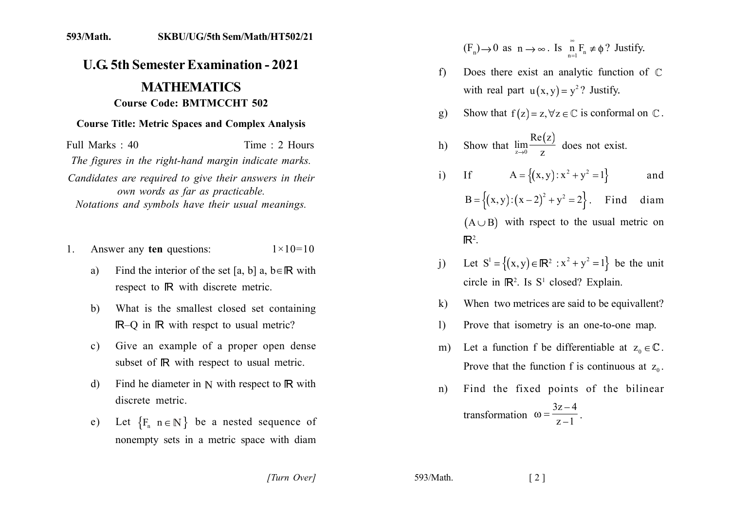## 593/Math. **SKBU/UG/5th Sem/Math/HT502/21**

## **U.G. 5th Semester Examination - 2021 MATHEMATICS Course Code: BMTMCCHT 502**

## **Course Title: Metric Spaces and Complex Analysis**

Full Marks  $\cdot$  40 Time  $\cdot$  2 Hours

The figures in the right-hand margin indicate marks.

Candidates are required to give their answers in their own words as far as practicable. Notations and symbols have their usual meanings.

- Answer any ten questions:  $1 \times 10 = 10$  $1_{-}$ 
	- $a)$ Find the interior of the set [a, b] a,  $b \in \mathbb{R}$  with respect to R with discrete metric.
	- $b)$ What is the smallest closed set containing IR-O in IR with respect to usual metric?
	- Give an example of a proper open dense  $c)$ subset of IR with respect to usual metric.
	- Find he diameter in  $\mathbb N$  with respect to  $\mathbb R$  with  $\mathbf{d}$ discrete metric
	- Let  ${F_n \space n \in \mathbb{N}}$  be a nested sequence of  $e)$ nonempty sets in a metric space with diam

 $(F_n) \to 0$  as  $n \to \infty$ . Is  $\prod_{n=1}^{\infty} F_n \neq \emptyset$ ? Justify.

- Does there exist an analytic function of  $\mathbb C$  $f$ with real part  $u(x, y) = y^2$ ? Justify.
- Show that  $f(z) = z, \forall z \in \mathbb{C}$  is conformal on  $\mathbb{C}$ .  $g)$

h) Show that 
$$
\lim_{z \to 0} \frac{\text{Re}(z)}{z}
$$
 does not exist.

- If  $A = \{(x, y): x^2 + y^2 = 1\}$  $i)$ and  $B = \{(x, y): (x - 2)^2 + y^2 = 2\}$ . Find diam  $(A \cup B)$  with rspect to the usual metric on  $\mathbb{R}^2$ .
- Let  $S^1 = \{(x, y) \in \mathbb{R}^2 : x^2 + y^2 = 1\}$  be the unit  $\mathbf{i}$ circle in  $\mathbb{R}^2$ . Is  $S^1$  closed? Explain.
- When two metrices are said to be equivalent?  $\bf{k}$
- Prove that isometry is an one-to-one map.  $\mathbf{D}$
- Let a function f be differentiable at  $z_0 \in \mathbb{C}$ .  $m)$ Prove that the function f is continuous at  $z_0$ .
- Find the fixed points of the bilinear  $n)$

transformation 
$$
\omega = \frac{3z-4}{z-1}
$$
.

[Turn Over]

593/Math.

 $\lceil 2 \rceil$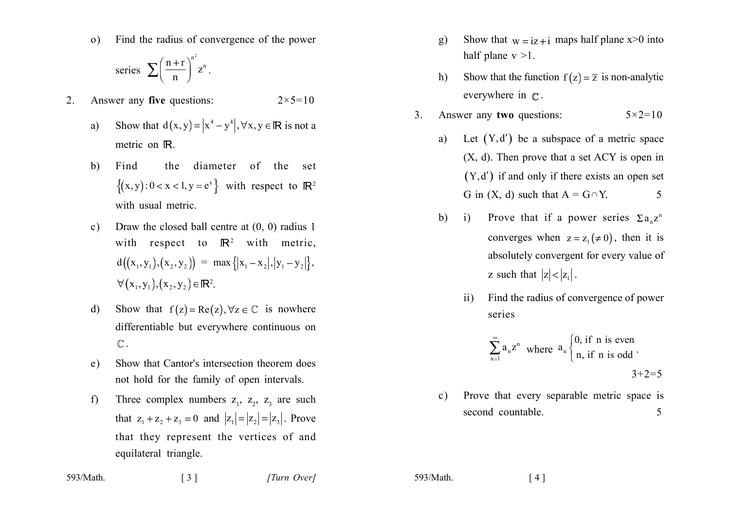Find the radius of convergence of the power  $\Omega$ 

series 
$$
\sum \left(\frac{n+r}{n}\right)^{n^2} z^n.
$$

- Answer any five questions:  $2.$  $2 \times 5 = 10$ 
	- Show that  $d(x, y) = |x^4 y^4|, \forall x, y \in \mathbb{R}$  is not a  $a)$ metric on IR.
	- the diameter of the set  $b)$ Find  $\{(x, y): 0 < x < 1, y = e^x\}$  with respect to  $\mathbb{R}^2$ with usual metric.
	- Draw the closed ball centre at  $(0, 0)$  radius 1  $c)$ with respect to  $\mathbb{R}^2$  with metric,  $d((x_1, y_1), (x_2, y_2)) = max { |x_1 - x_2|, |y_1 - y_2| }$  $\forall (x_1, y_1), (x_2, y_2) \in \mathbb{R}^2$ .
	- Show that  $f(z) = Re(z), \forall z \in \mathbb{C}$  is nowhere  $\mathbf{d}$ differentiable but everywhere continuous on  $\mathbb{C}$ .
	- Show that Cantor's intersection theorem does  $e)$ not hold for the family of open intervals.
	- Three complex numbers  $z_1$ ,  $z_2$ ,  $z_3$  are such  $f$ that  $z_1 + z_2 + z_3 = 0$  and  $|z_1| = |z_2| = |z_3|$ . Prove that they represent the vertices of and equilateral triangle.
- Show that  $w = iz + i$  maps half plane  $x>0$  into  $g)$ half plane  $v > 1$ .
- Show that the function  $f(z) = \overline{z}$  is non-analytic  $h)$ everywhere in  $\mathbb{C}$ .
- Answer any two questions:  $5 \times 2 = 10$  $3<sub>1</sub>$ 
	- Let  $(Y, d')$  be a subspace of a metric space a)  $(X, d)$ . Then prove that a set ACY is open in  $(Y, d')$  if and only if there exists an open set G in  $(X, d)$  such that  $A = G \cap Y$ . 5
	- Prove that if a power series  $\Sigma a_n z^n$  $h)$  $\mathbf{i}$ converges when  $z = z_1 (\neq 0)$ , then it is absolutely convergent for every value of z such that  $|z| < |z_1|$ .
		- Find the radius of convergence of power  $\overline{11}$ series

$$
\sum_{n=1}^{\infty} a_n z^n
$$
 where  $a_n \begin{cases} 0, & \text{if } n \text{ is even} \\ n, & \text{if } n \text{ is odd} \end{cases}$ .  
3+2=5

Prove that every separable metric space is  $\mathbf{c}$ ) second countable. 5

593/Math.  $\begin{bmatrix} 3 \end{bmatrix}$  [Turn Over]

593/Math.

 $\lceil 4 \rceil$